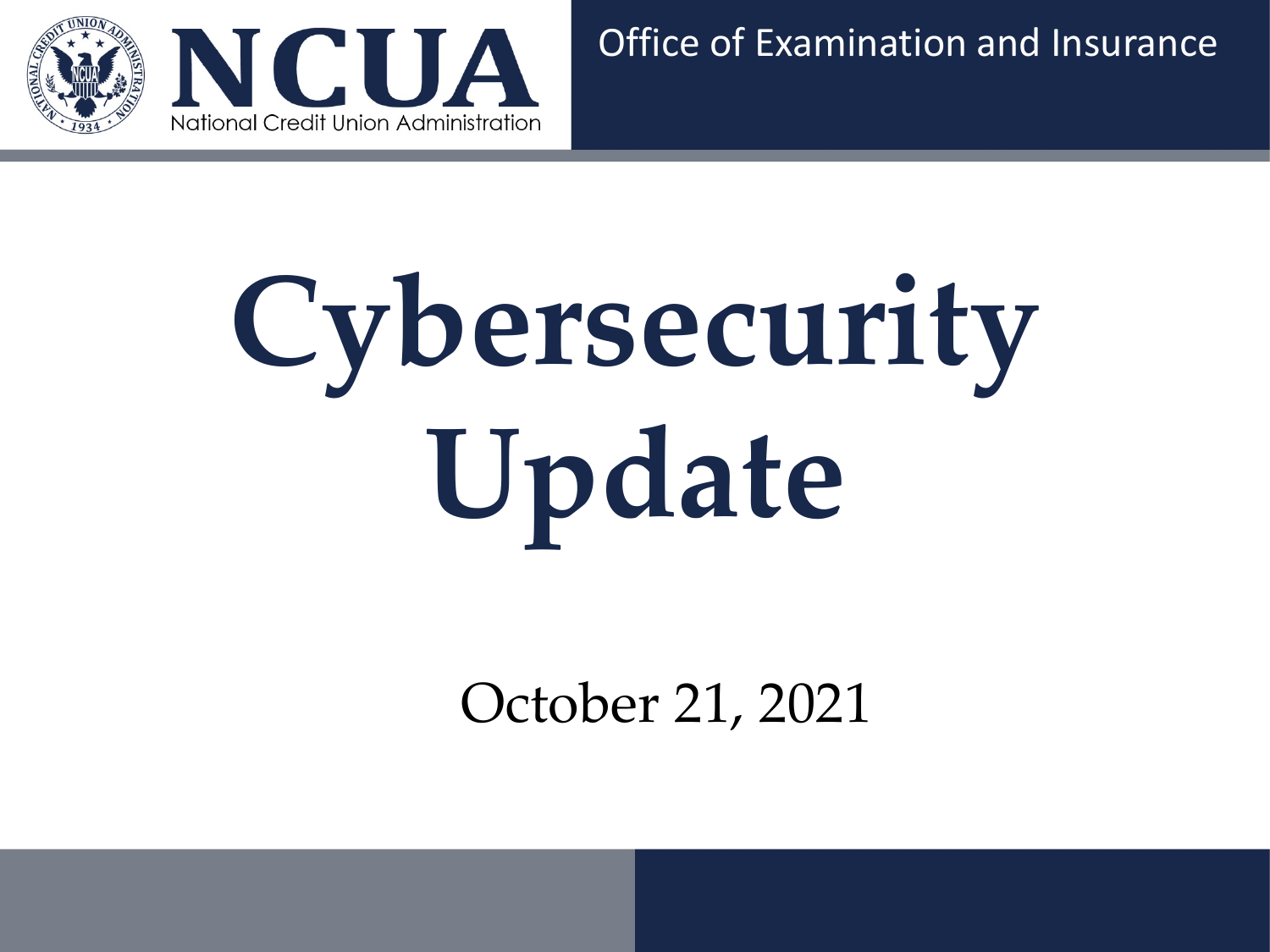

# **Cybersecurity Update**

October 21, 2021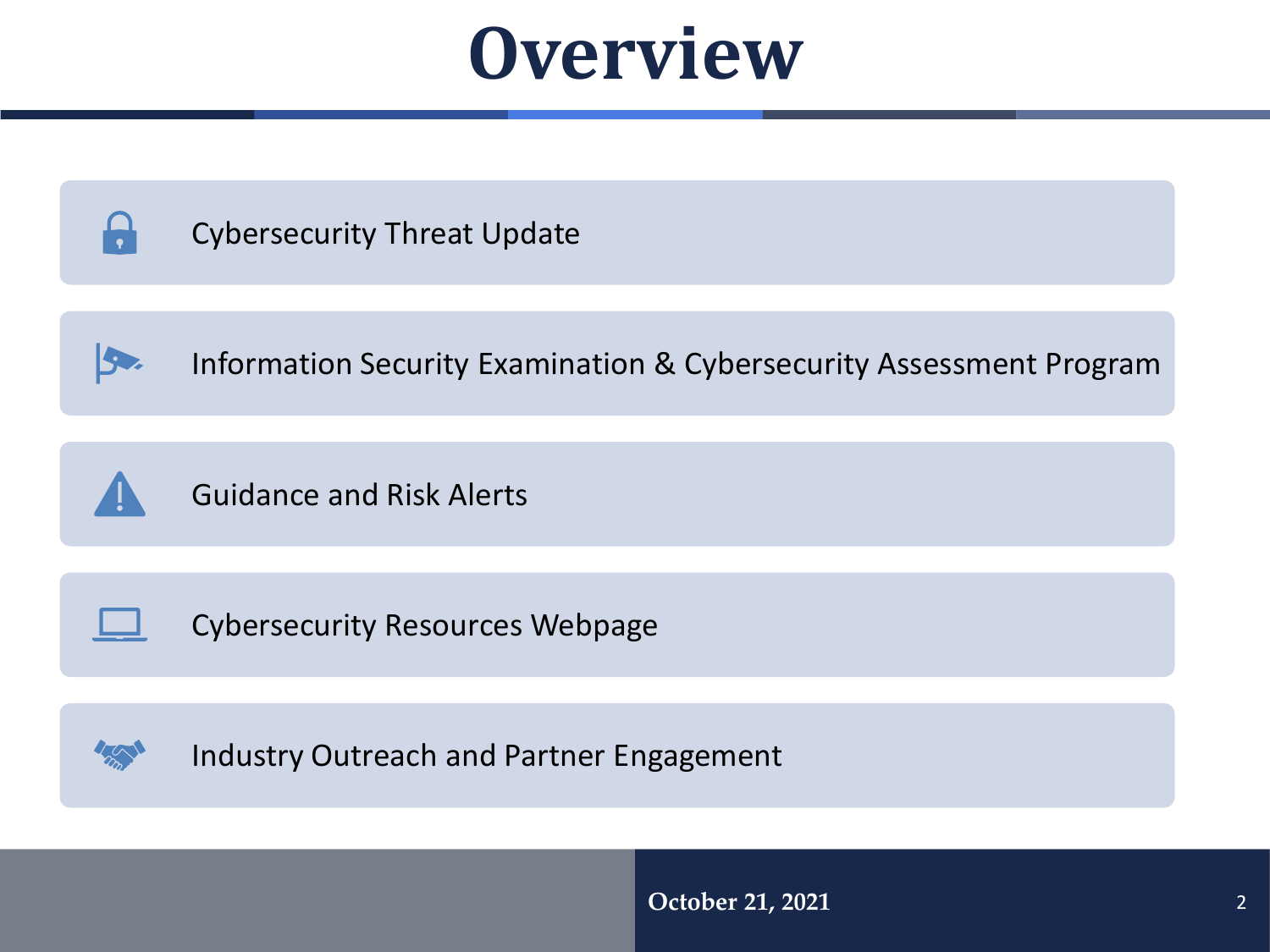## **Overview**

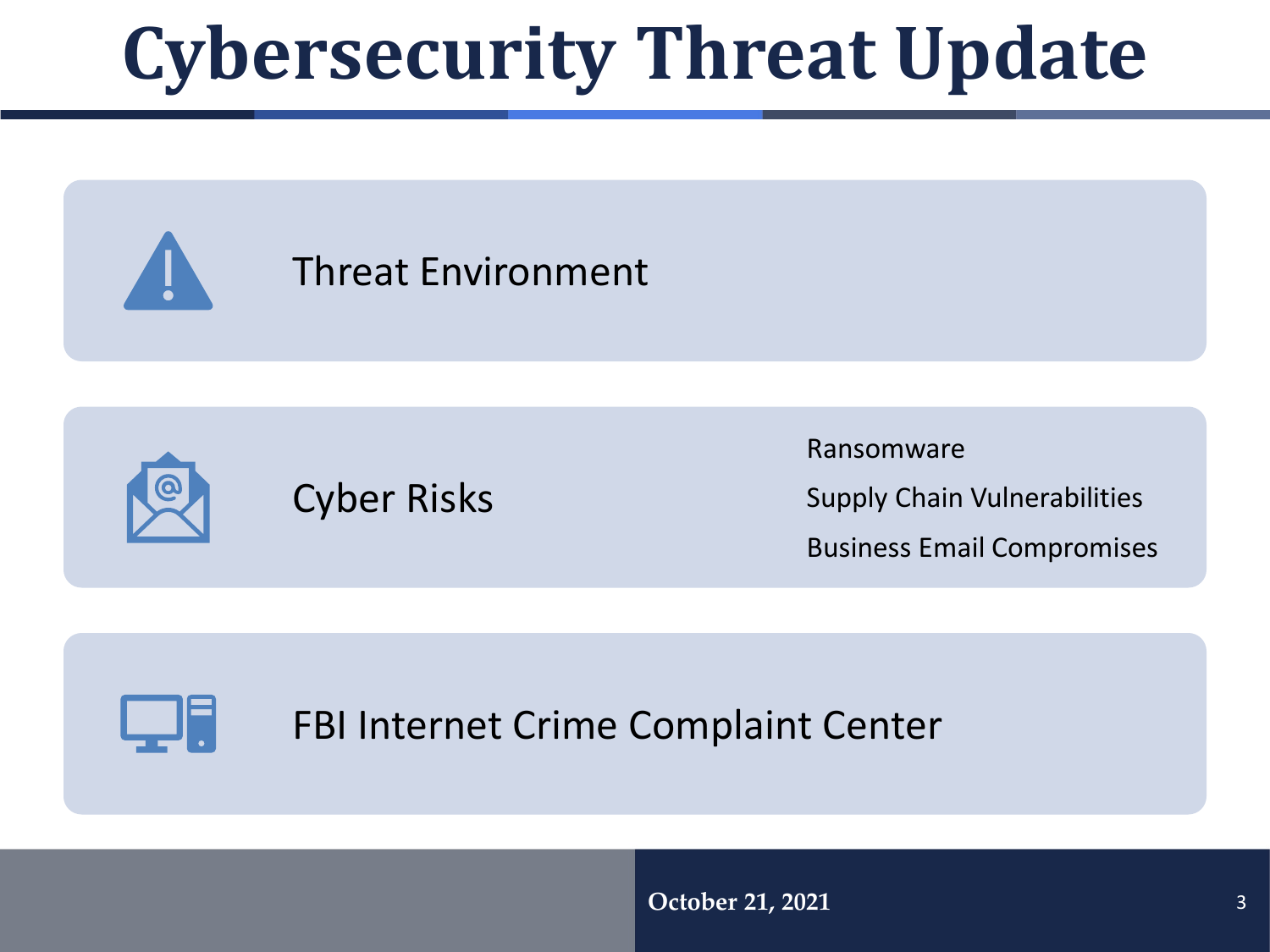## **Cybersecurity Threat Update**





Ransomware

Supply Chain Vulnerabilities

Business Email Compromises



FBI Internet Crime Complaint Center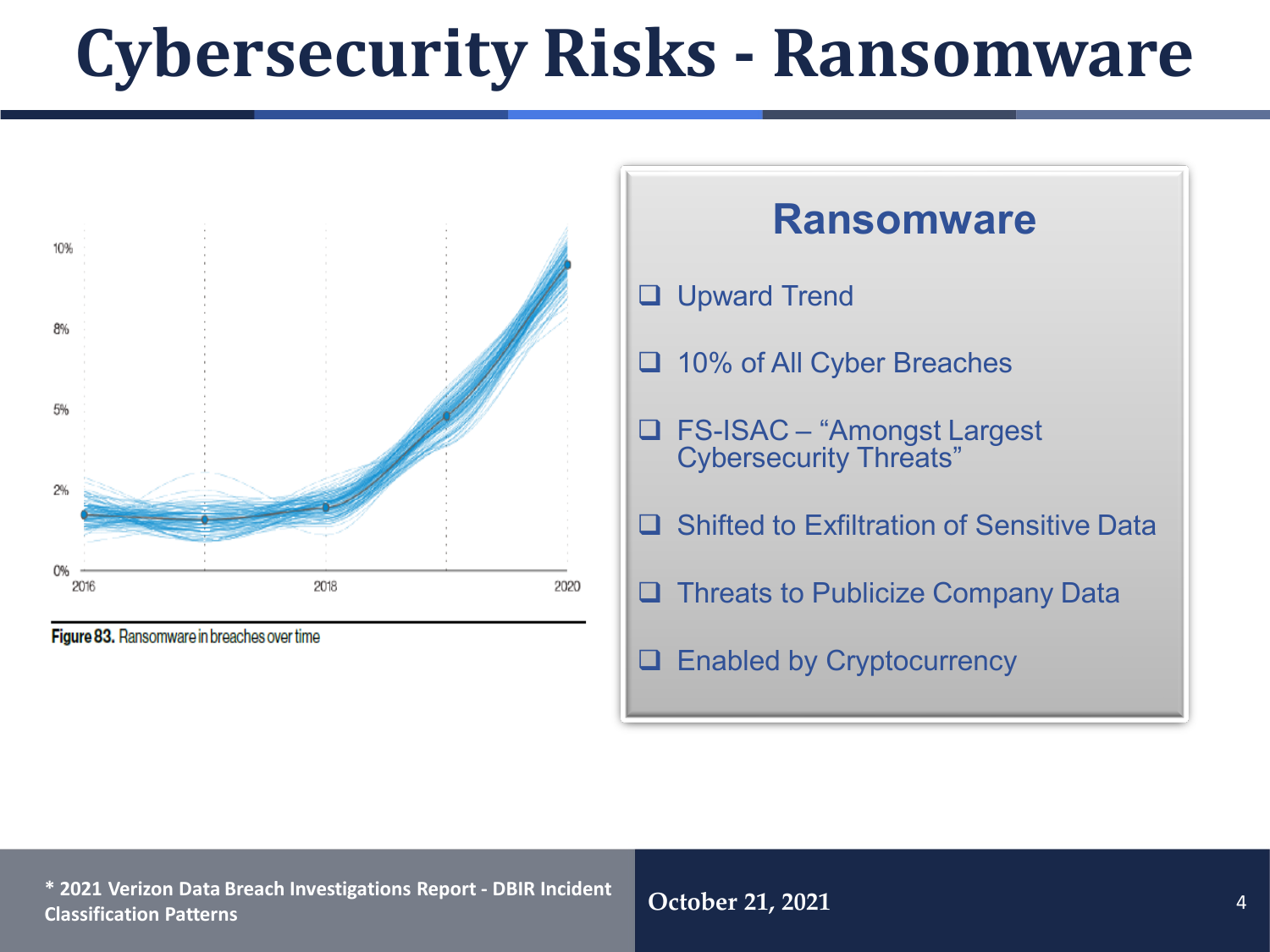## **Cybersecurity Risks - Ransomware**



Figure 83. Ransomware in breaches over time



**October 21, 2021** <sup>4</sup> **\* 2021 Verizon Data Breach Investigations Report - DBIR Incident Classification Patterns**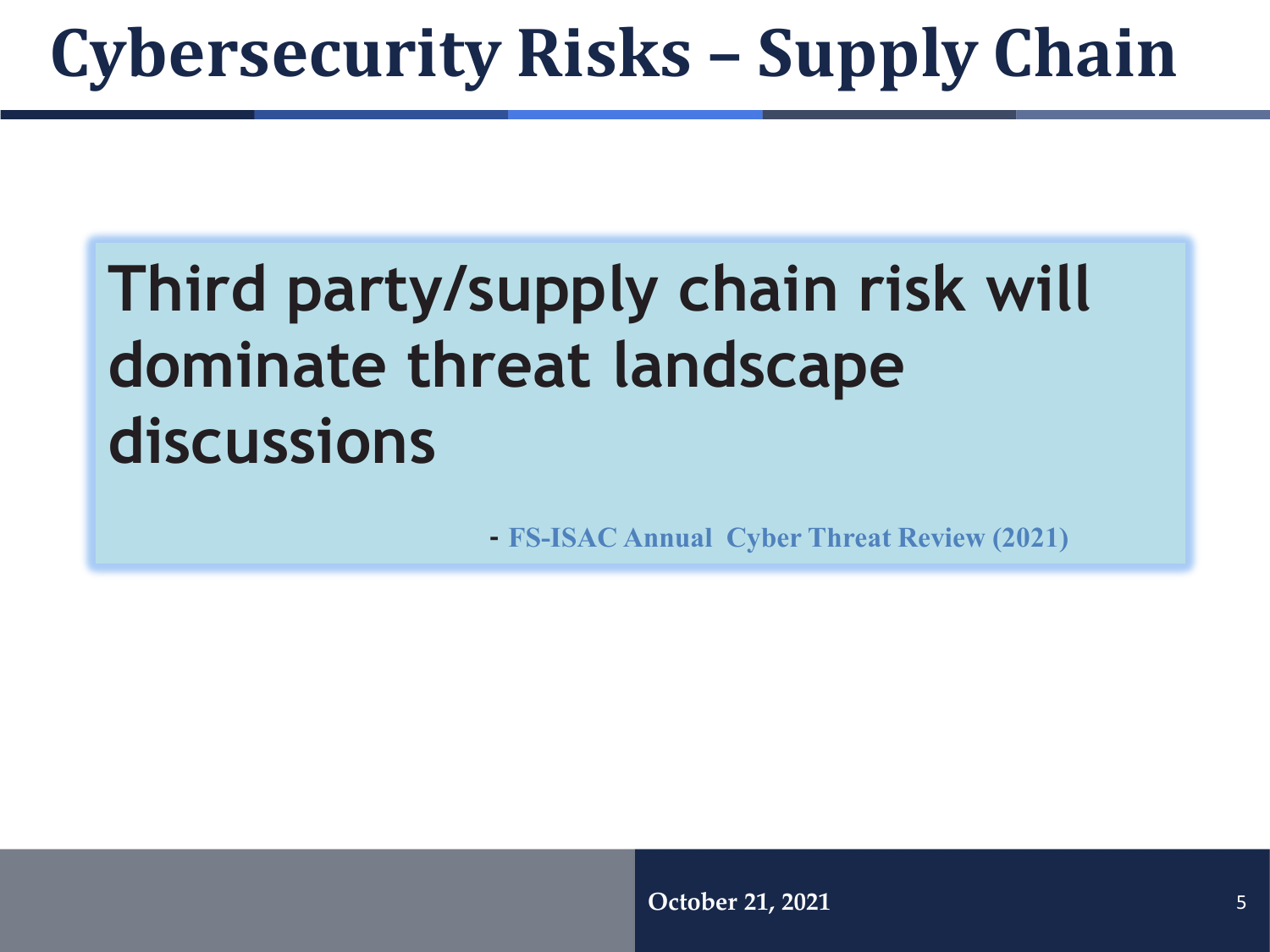## **Cybersecurity Risks – Supply Chain**

## **Third party/supply chain risk will dominate threat landscape discussions**

**- FS-ISAC Annual Cyber Threat Review (2021)**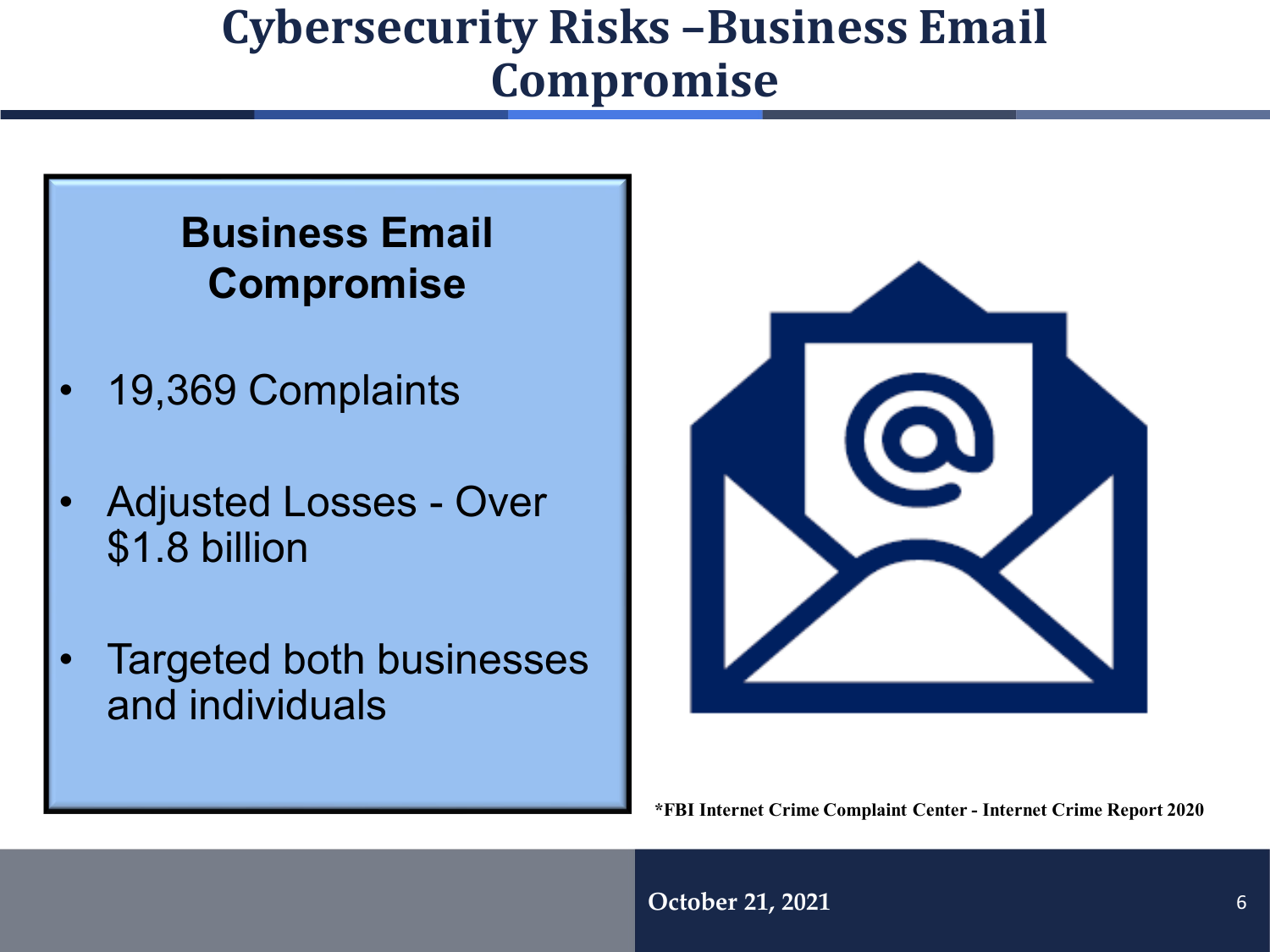#### **Cybersecurity Risks –Business Email Compromise**

#### **Business Email Compromise**

- 19,369 Complaints
- Adjusted Losses Over \$1.8 billion
- Targeted both businesses and individuals



**\*FBI Internet Crime Complaint Center - Internet Crime Report 2020**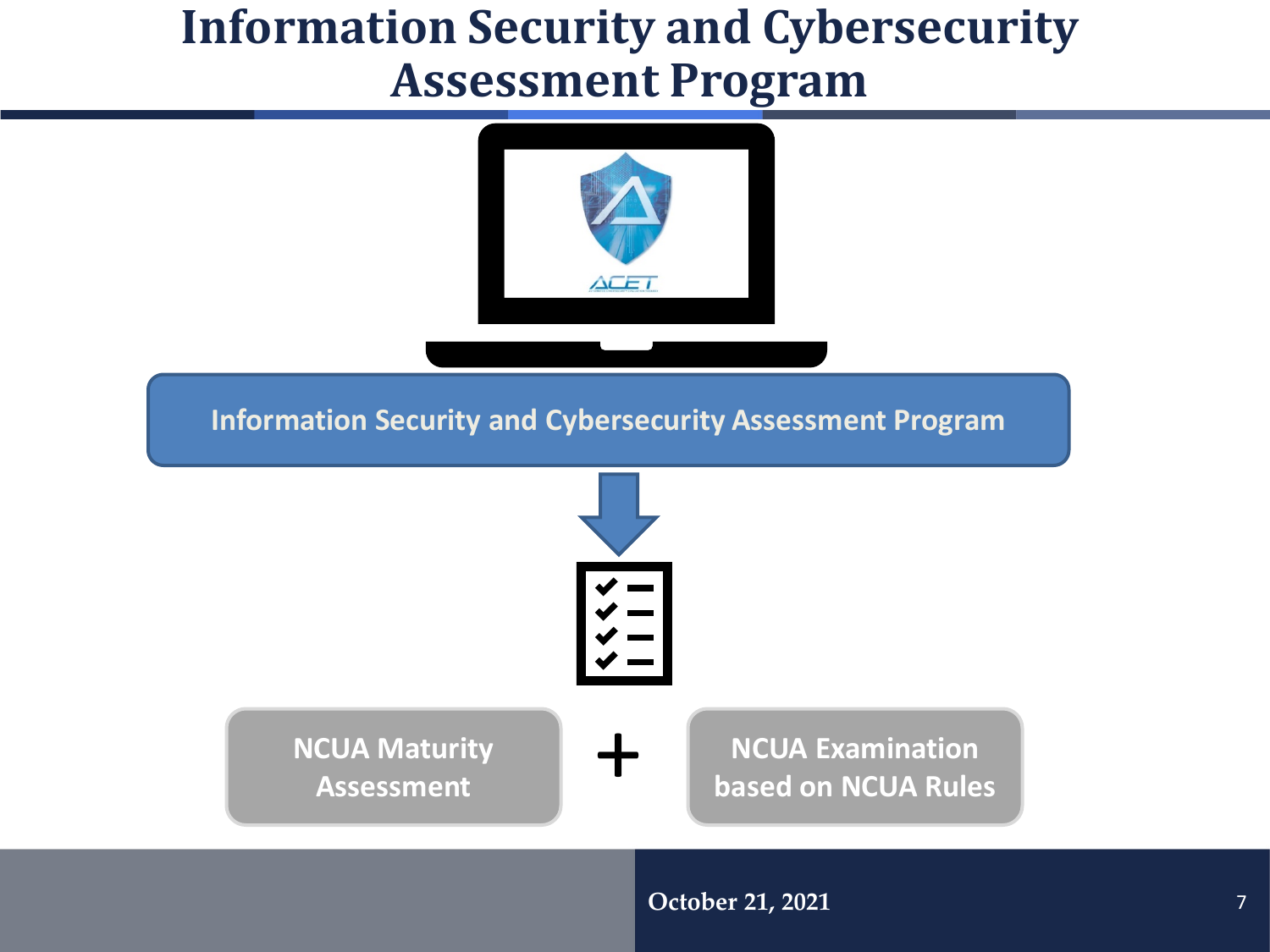#### **Information Security and Cybersecurity Assessment Program**



**Information Security and Cybersecurity Assessment Program** 

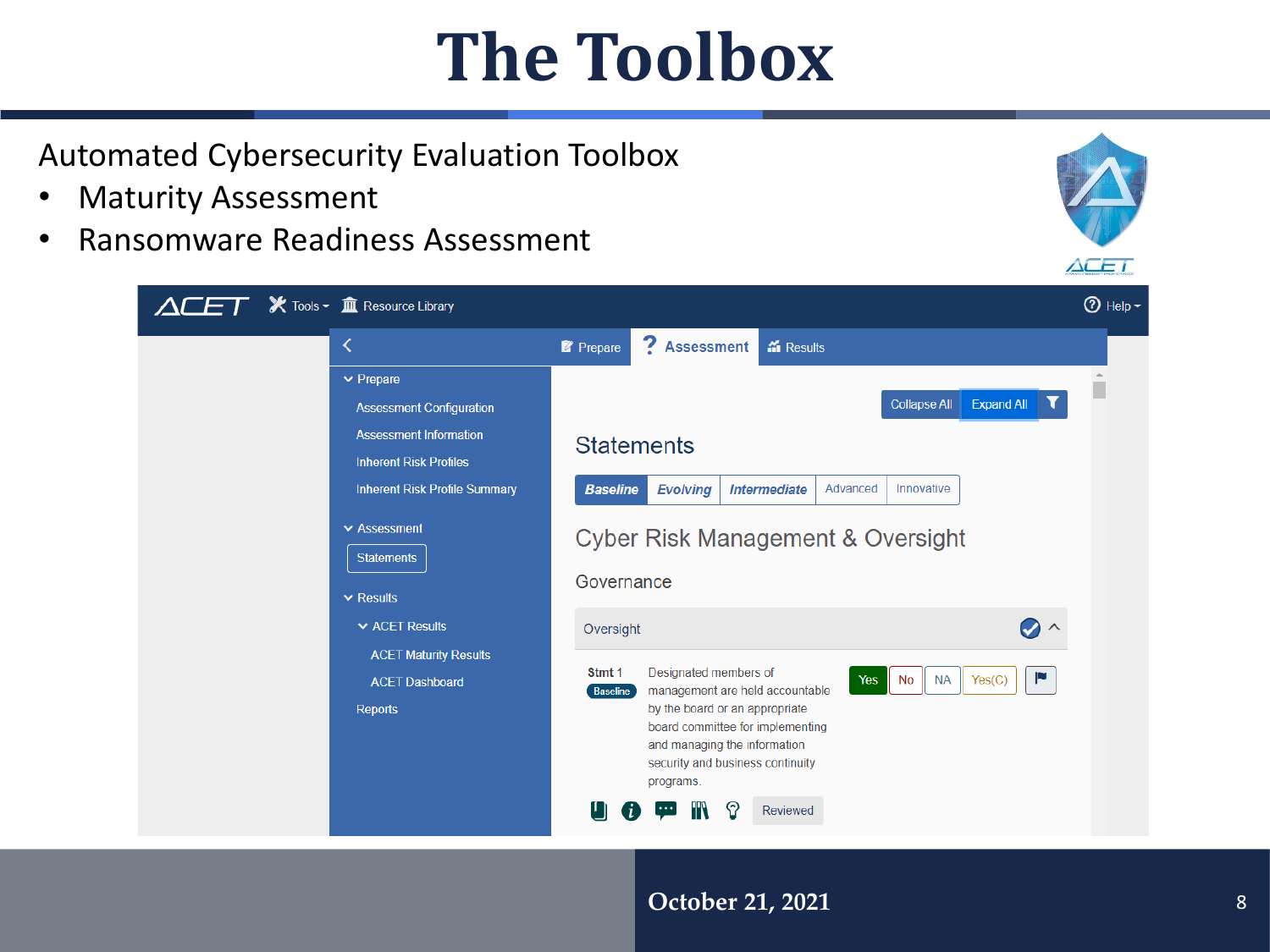## **The Toolbox**

Automated Cybersecurity Evaluation Toolbox

- Maturity Assessment
- Ransomware Readiness Assessment



#### **October 21, 2021**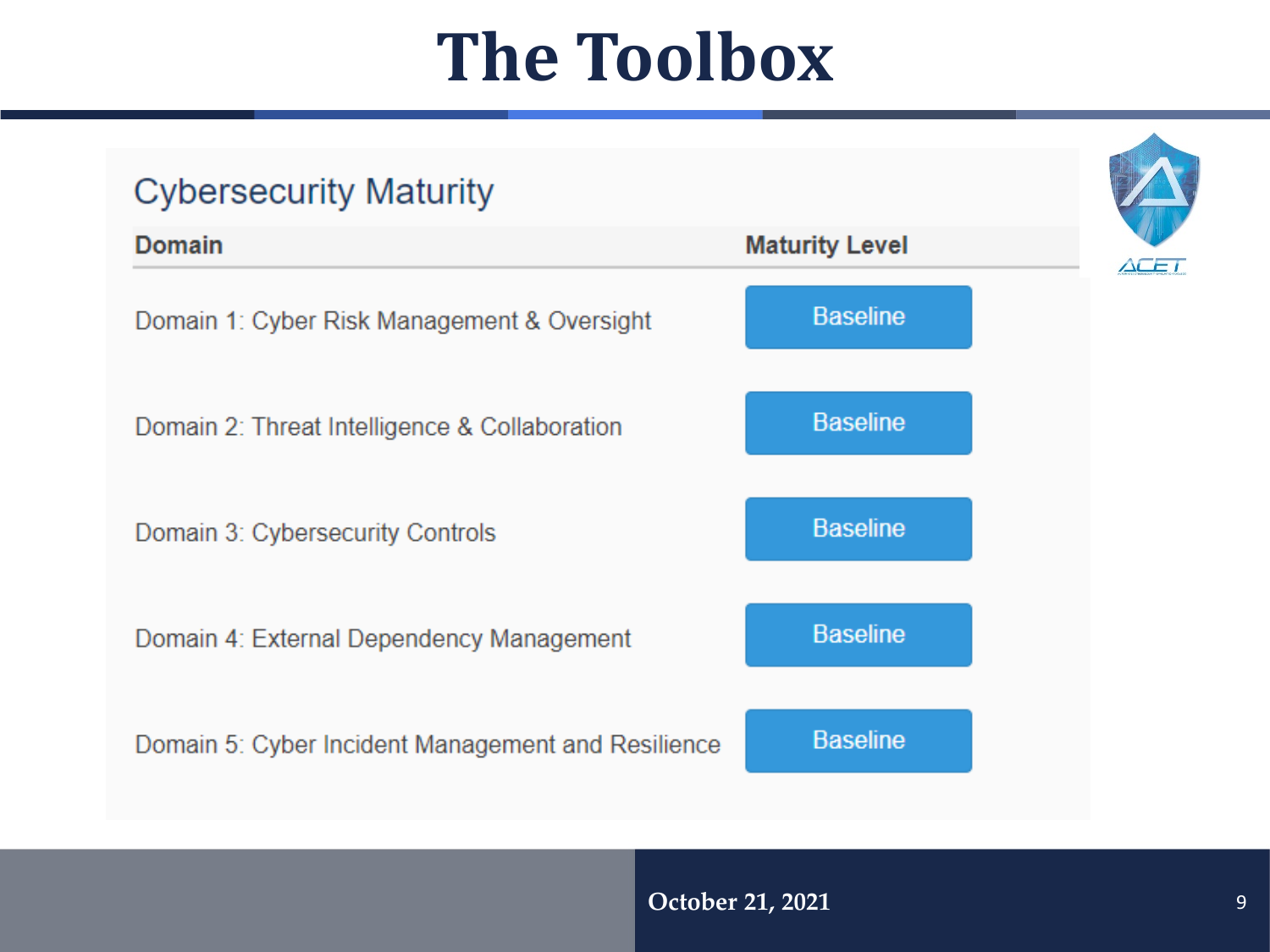## **The Toolbox**

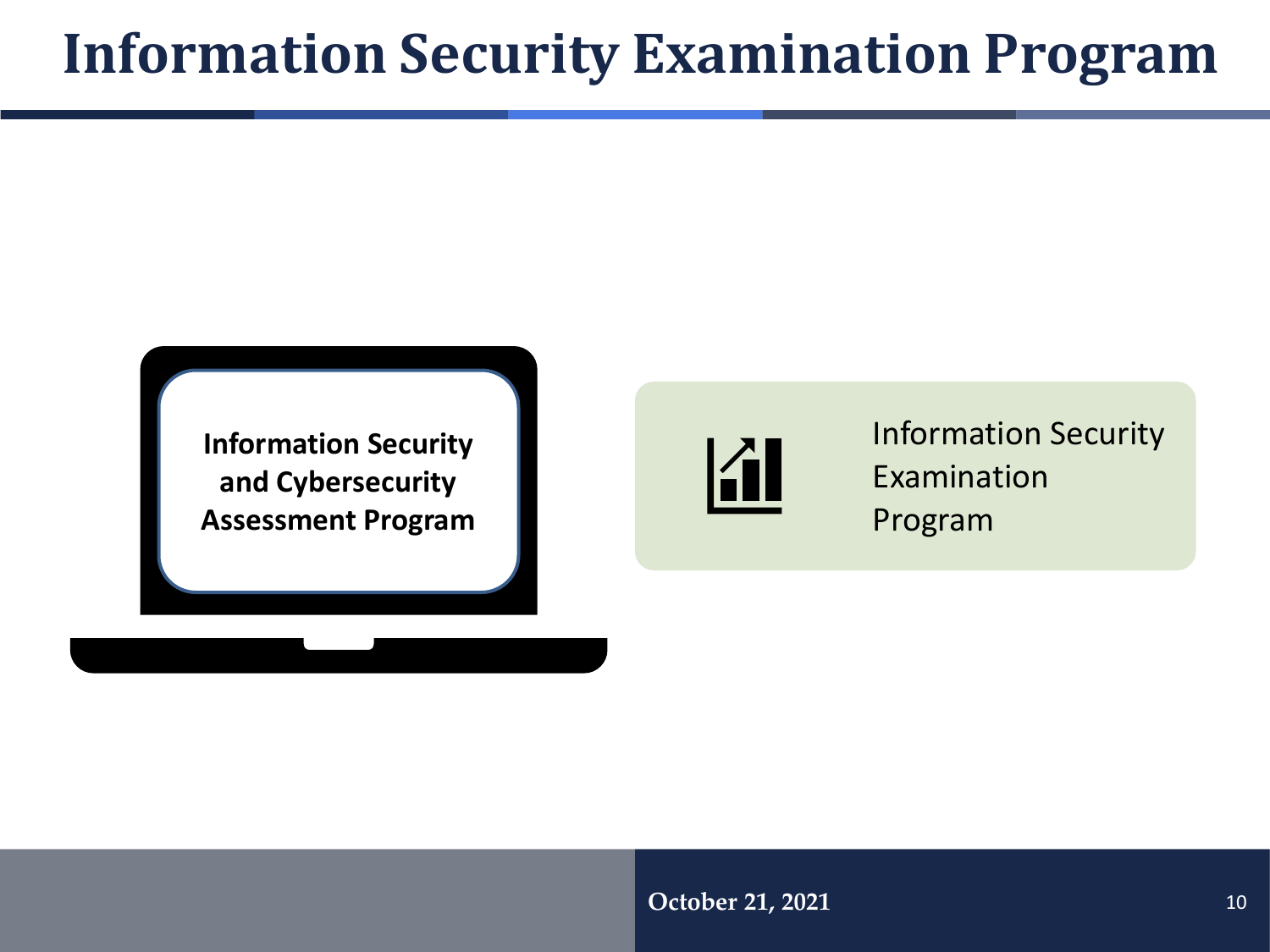### **Information Security Examination Program**

**Information Security and Cybersecurity Assessment Program** 



Information Security Examination Program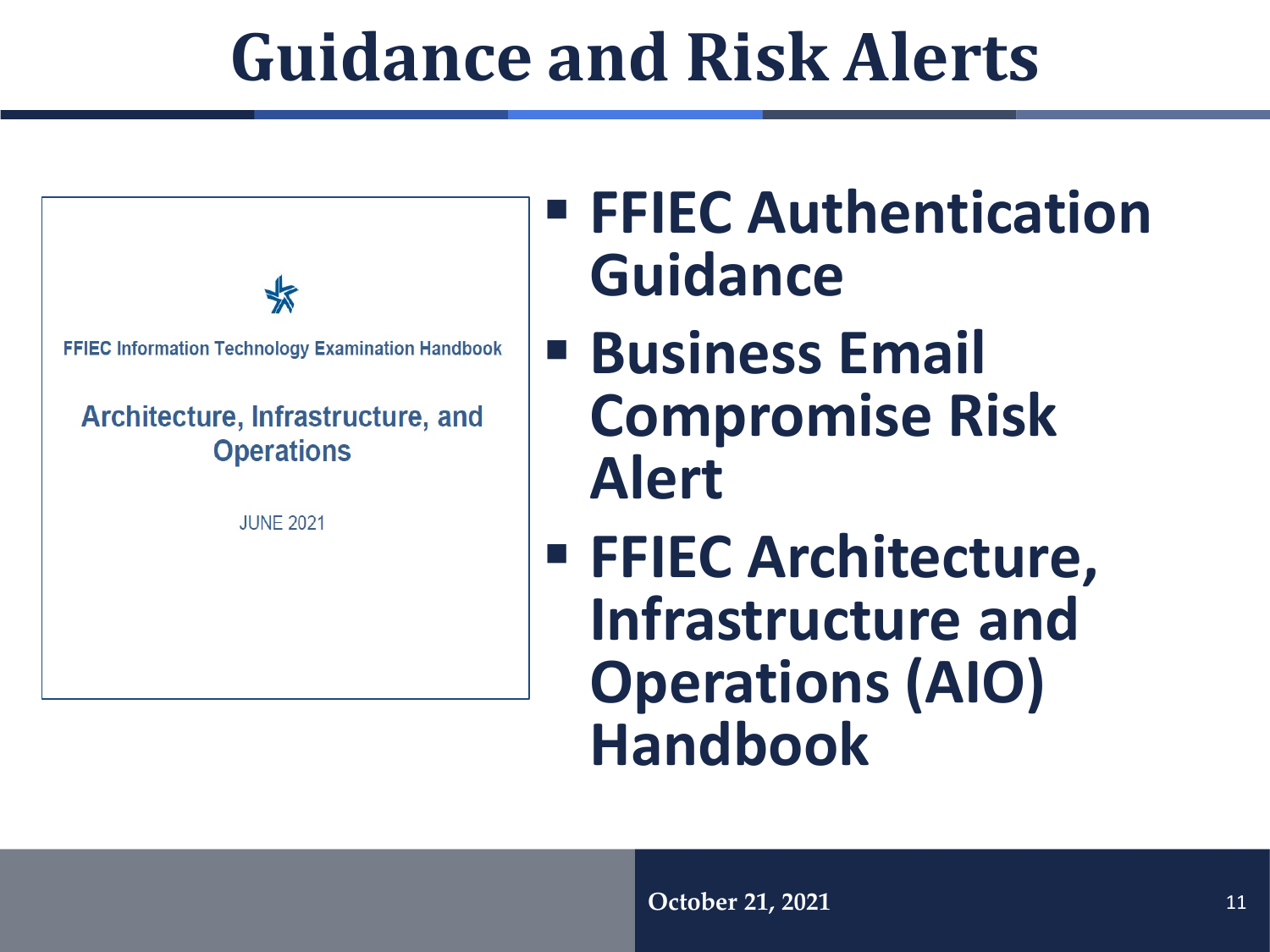## **Guidance and Risk Alerts**

**FFIEC Information Technology Examination Handbook** Architecture, Infrastructure, and **Operations JUNE 2021** 

## **FFIEC Authentication Guidance**

- **Business Email Compromise Risk Alert**
- **FFIEC Architecture, Infrastructure and Operations (AIO) Handbook**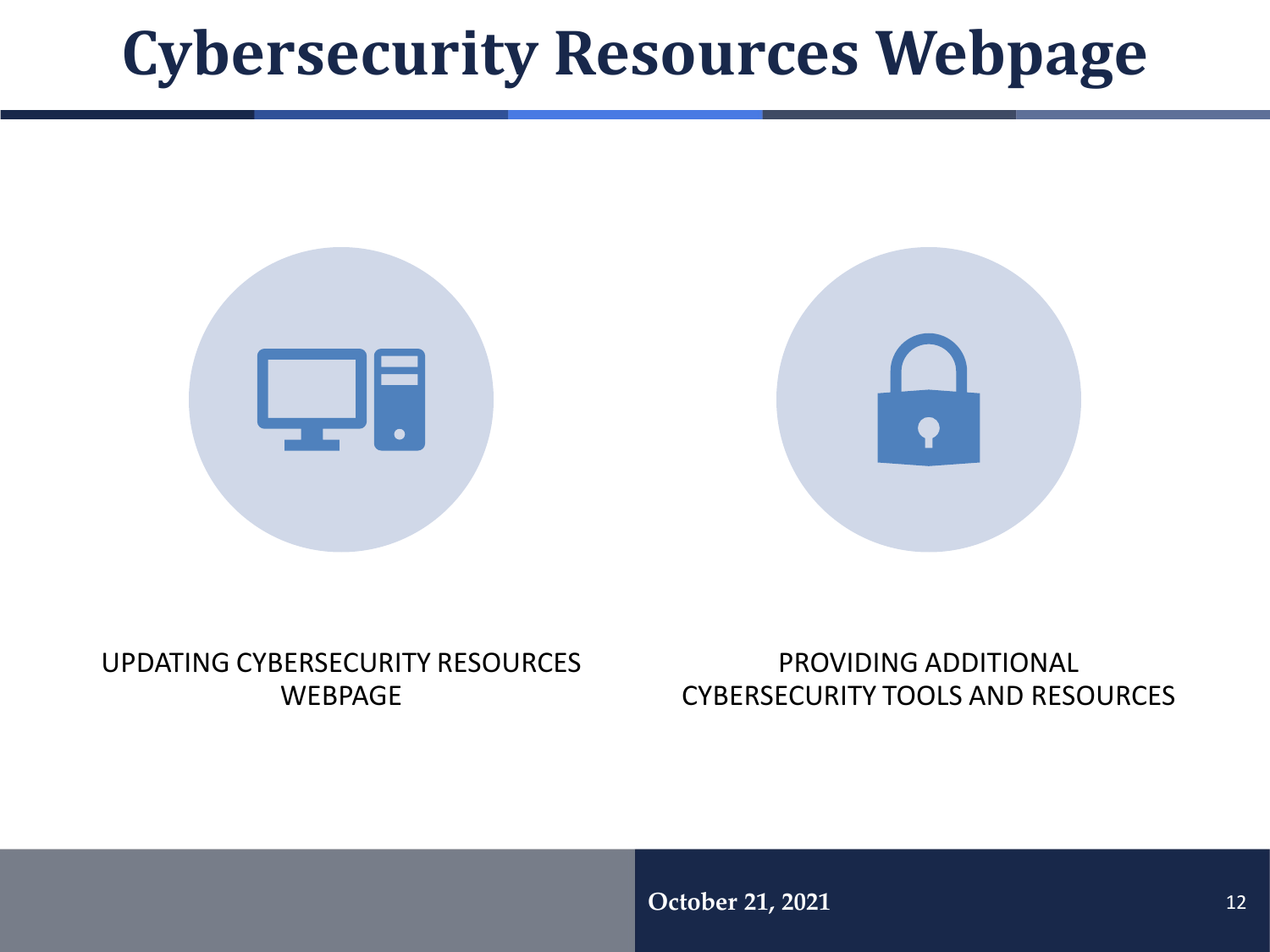## **Cybersecurity Resources Webpage**





#### UPDATING CYBERSECURITY RESOURCES WEBPAGE

PROVIDING ADDITIONAL CYBERSECURITY TOOLS AND RESOURCES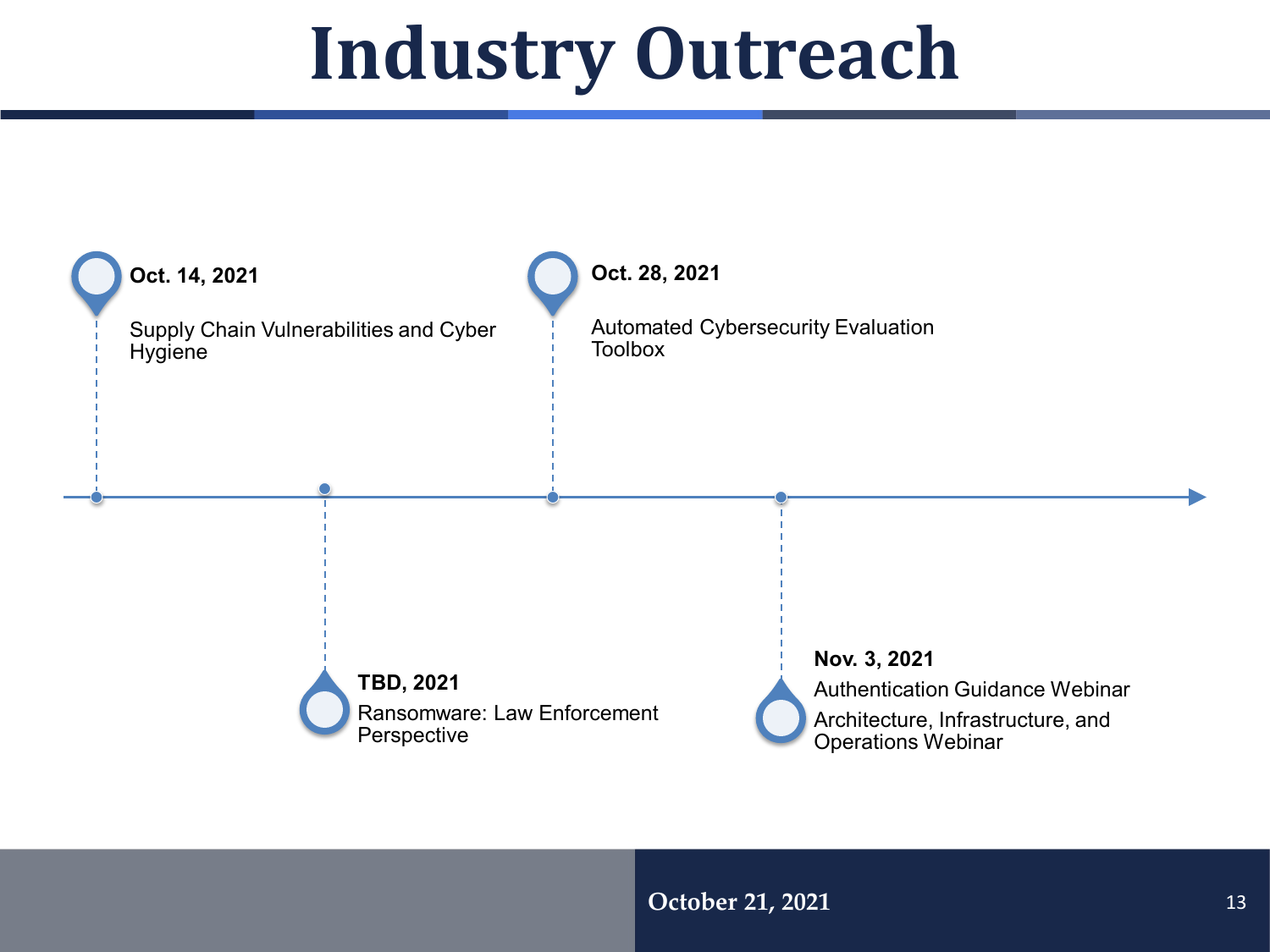## **Industry Outreach**

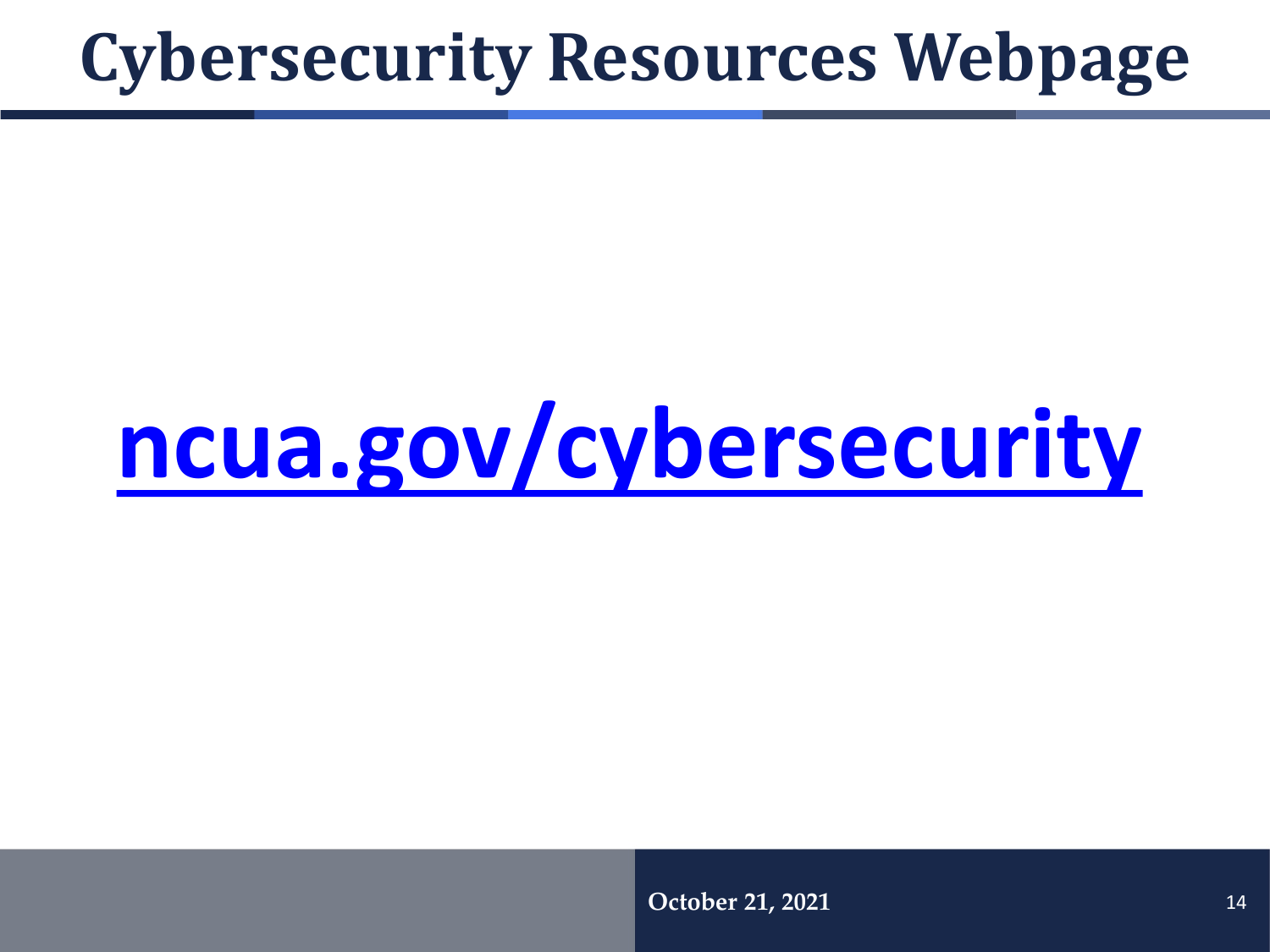## **Cybersecurity Resources Webpage**

# **[ncua.gov/cybersecurity](https://www.ncua.gov/cybersecurity)**